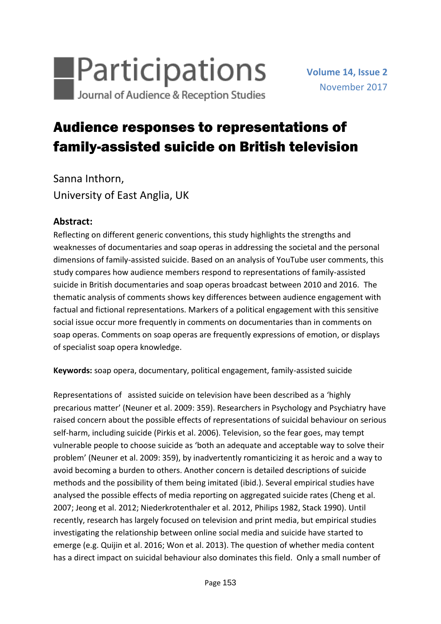

# Audience responses to representations of family-assisted suicide on British television

Sanna Inthorn, University of East Anglia, UK

## **Abstract:**

Reflecting on different generic conventions, this study highlights the strengths and weaknesses of documentaries and soap operas in addressing the societal and the personal dimensions of family-assisted suicide. Based on an analysis of YouTube user comments, this study compares how audience members respond to representations of family-assisted suicide in British documentaries and soap operas broadcast between 2010 and 2016. The thematic analysis of comments shows key differences between audience engagement with factual and fictional representations. Markers of a political engagement with this sensitive social issue occur more frequently in comments on documentaries than in comments on soap operas. Comments on soap operas are frequently expressions of emotion, or displays of specialist soap opera knowledge.

**Keywords:** soap opera, documentary, political engagement, family-assisted suicide

Representations of assisted suicide on television have been described as a 'highly precarious matter' (Neuner et al. 2009: 359). Researchers in Psychology and Psychiatry have raised concern about the possible effects of representations of suicidal behaviour on serious self-harm, including suicide (Pirkis et al. 2006). Television, so the fear goes, may tempt vulnerable people to choose suicide as 'both an adequate and acceptable way to solve their problem' (Neuner et al. 2009: 359), by inadvertently romanticizing it as heroic and a way to avoid becoming a burden to others. Another concern is detailed descriptions of suicide methods and the possibility of them being imitated (ibid.). Several empirical studies have analysed the possible effects of media reporting on aggregated suicide rates (Cheng et al. 2007; Jeong et al. 2012; Niederkrotenthaler et al. 2012, Philips 1982, Stack 1990). Until recently, research has largely focused on television and print media, but empirical studies investigating the relationship between online social media and suicide have started to emerge (e.g. Quijin et al. 2016; Won et al. 2013). The question of whether media content has a direct impact on suicidal behaviour also dominates this field. Only a small number of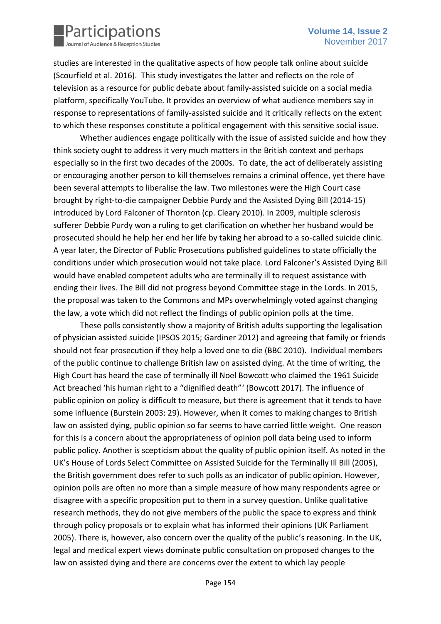

studies are interested in the qualitative aspects of how people talk online about suicide (Scourfield et al. 2016). This study investigates the latter and reflects on the role of television as a resource for public debate about family-assisted suicide on a social media platform, specifically YouTube. It provides an overview of what audience members say in response to representations of family-assisted suicide and it critically reflects on the extent to which these responses constitute a political engagement with this sensitive social issue.

Whether audiences engage politically with the issue of assisted suicide and how they think society ought to address it very much matters in the British context and perhaps especially so in the first two decades of the 2000s. To date, the act of deliberately assisting or encouraging another person to kill themselves remains a criminal offence, yet there have been several attempts to liberalise the law. Two milestones were the High Court case brought by right-to-die campaigner Debbie Purdy and the Assisted Dying Bill (2014-15) introduced by Lord Falconer of Thornton (cp. Cleary 2010). In 2009, multiple sclerosis sufferer Debbie Purdy won a ruling to get clarification on whether her husband would be prosecuted should he help her end her life by taking her abroad to a so-called suicide clinic. A year later, the Director of Public Prosecutions published guidelines to state officially the conditions under which prosecution would not take place. Lord Falconer's Assisted Dying Bill would have enabled competent adults who are terminally ill to request assistance with ending their lives. The Bill did not progress beyond Committee stage in the Lords. In 2015, the proposal was taken to the Commons and MPs overwhelmingly voted against changing the law, a vote which did not reflect the findings of public opinion polls at the time.

These polls consistently show a majority of British adults supporting the legalisation of physician assisted suicide (IPSOS 2015; Gardiner 2012) and agreeing that family or friends should not fear prosecution if they help a loved one to die (BBC 2010). Individual members of the public continue to challenge British law on assisted dying. At the time of writing, the High Court has heard the case of terminally ill Noel Bowcott who claimed the 1961 Suicide Act breached 'his human right to a "dignified death"' (Bowcott 2017). The influence of public opinion on policy is difficult to measure, but there is agreement that it tends to have some influence (Burstein 2003: 29). However, when it comes to making changes to British law on assisted dying, public opinion so far seems to have carried little weight. One reason for this is a concern about the appropriateness of opinion poll data being used to inform public policy. Another is scepticism about the quality of public opinion itself. As noted in the UK's House of Lords Select Committee on Assisted Suicide for the Terminally Ill Bill (2005), the British government does refer to such polls as an indicator of public opinion. However, opinion polls are often no more than a simple measure of how many respondents agree or disagree with a specific proposition put to them in a survey question. Unlike qualitative research methods, they do not give members of the public the space to express and think through policy proposals or to explain what has informed their opinions (UK Parliament 2005). There is, however, also concern over the quality of the public's reasoning. In the UK, legal and medical expert views dominate public consultation on proposed changes to the law on assisted dying and there are concerns over the extent to which lay people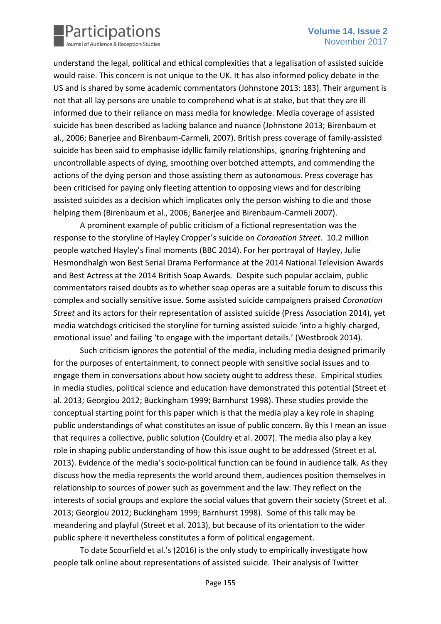

understand the legal, political and ethical complexities that a legalisation of assisted suicide would raise. This concern is not unique to the UK. It has also informed policy debate in the US and is shared by some academic commentators (Johnstone 2013: 183). Their argument is not that all lay persons are unable to comprehend what is at stake, but that they are ill informed due to their reliance on mass media for knowledge. Media coverage of assisted suicide has been described as lacking balance and nuance (Johnstone 2013; Birenbaum et al., 2006; Banerjee and Birenbaum-Carmeli, 2007). British press coverage of family-assisted suicide has been said to emphasise idyllic family relationships, ignoring frightening and uncontrollable aspects of dying, smoothing over botched attempts, and commending the actions of the dying person and those assisting them as autonomous. Press coverage has been criticised for paying only fleeting attention to opposing views and for describing assisted suicides as a decision which implicates only the person wishing to die and those helping them (Birenbaum et al., 2006; Banerjee and Birenbaum-Carmeli 2007).

A prominent example of public criticism of a fictional representation was the response to the storyline of Hayley Cropper's suicide on *Coronation Street*. 10.2 million people watched Hayley's final moments (BBC 2014). For her portrayal of Hayley, Julie Hesmondhalgh won Best Serial Drama Performance at the 2014 National Television Awards and Best Actress at the 2014 British Soap Awards. Despite such popular acclaim, public commentators raised doubts as to whether soap operas are a suitable forum to discuss this complex and socially sensitive issue. Some assisted suicide campaigners praised *Coronation Street* and its actors for their representation of assisted suicide (Press Association 2014), yet media watchdogs criticised the storyline for turning assisted suicide 'into a highly-charged, emotional issue' and failing 'to engage with the important details.' (Westbrook 2014).

Such criticism ignores the potential of the media, including media designed primarily for the purposes of entertainment, to connect people with sensitive social issues and to engage them in conversations about how society ought to address these. Empirical studies in media studies, political science and education have demonstrated this potential (Street et al. 2013; Georgiou 2012; Buckingham 1999; Barnhurst 1998). These studies provide the conceptual starting point for this paper which is that the media play a key role in shaping public understandings of what constitutes an issue of public concern. By this I mean an issue that requires a collective, public solution (Couldry et al. 2007). The media also play a key role in shaping public understanding of how this issue ought to be addressed (Street et al. 2013). Evidence of the media's socio-political function can be found in audience talk. As they discuss how the media represents the world around them, audiences position themselves in relationship to sources of power such as government and the law. They reflect on the interests of social groups and explore the social values that govern their society (Street et al. 2013; Georgiou 2012; Buckingham 1999; Barnhurst 1998). Some of this talk may be meandering and playful (Street et al. 2013), but because of its orientation to the wider public sphere it nevertheless constitutes a form of political engagement.

To date Scourfield et al.'s (2016) is the only study to empirically investigate how people talk online about representations of assisted suicide. Their analysis of Twitter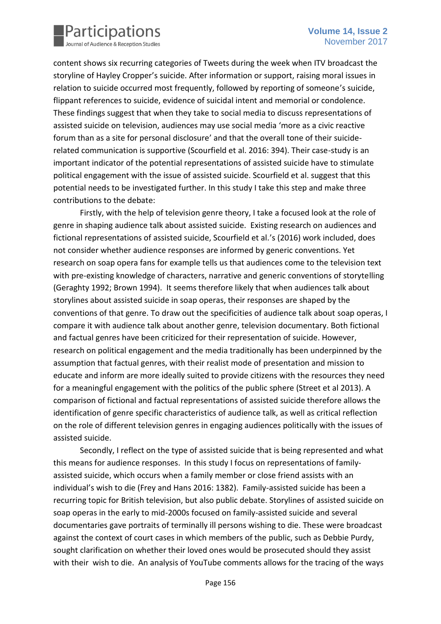

content shows six recurring categories of Tweets during the week when ITV broadcast the storyline of Hayley Cropper's suicide. After information or support, raising moral issues in relation to suicide occurred most frequently, followed by reporting of someone's suicide, flippant references to suicide, evidence of suicidal intent and memorial or condolence. These findings suggest that when they take to social media to discuss representations of assisted suicide on television, audiences may use social media 'more as a civic reactive forum than as a site for personal disclosure' and that the overall tone of their suiciderelated communication is supportive (Scourfield et al. 2016: 394). Their case-study is an important indicator of the potential representations of assisted suicide have to stimulate political engagement with the issue of assisted suicide. Scourfield et al. suggest that this potential needs to be investigated further. In this study I take this step and make three contributions to the debate:

Firstly, with the help of television genre theory, I take a focused look at the role of genre in shaping audience talk about assisted suicide. Existing research on audiences and fictional representations of assisted suicide, Scourfield et al.'s (2016) work included, does not consider whether audience responses are informed by generic conventions. Yet research on soap opera fans for example tells us that audiences come to the television text with pre-existing knowledge of characters, narrative and generic conventions of storytelling (Geraghty 1992; Brown 1994). It seems therefore likely that when audiences talk about storylines about assisted suicide in soap operas, their responses are shaped by the conventions of that genre. To draw out the specificities of audience talk about soap operas, I compare it with audience talk about another genre, television documentary. Both fictional and factual genres have been criticized for their representation of suicide. However, research on political engagement and the media traditionally has been underpinned by the assumption that factual genres, with their realist mode of presentation and mission to educate and inform are more ideally suited to provide citizens with the resources they need for a meaningful engagement with the politics of the public sphere (Street et al 2013). A comparison of fictional and factual representations of assisted suicide therefore allows the identification of genre specific characteristics of audience talk, as well as critical reflection on the role of different television genres in engaging audiences politically with the issues of assisted suicide.

Secondly, I reflect on the type of assisted suicide that is being represented and what this means for audience responses. In this study I focus on representations of familyassisted suicide, which occurs when a family member or close friend assists with an individual's wish to die (Frey and Hans 2016: 1382). Family-assisted suicide has been a recurring topic for British television, but also public debate. Storylines of assisted suicide on soap operas in the early to mid-2000s focused on family-assisted suicide and several documentaries gave portraits of terminally ill persons wishing to die. These were broadcast against the context of court cases in which members of the public, such as Debbie Purdy, sought clarification on whether their loved ones would be prosecuted should they assist with their wish to die. An analysis of YouTube comments allows for the tracing of the ways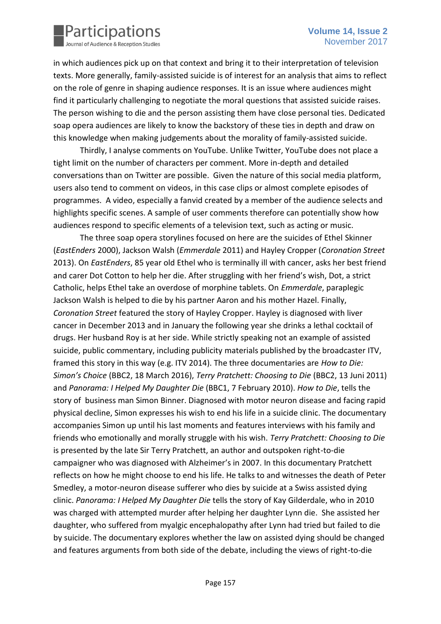

in which audiences pick up on that context and bring it to their interpretation of television texts. More generally, family-assisted suicide is of interest for an analysis that aims to reflect on the role of genre in shaping audience responses. It is an issue where audiences might find it particularly challenging to negotiate the moral questions that assisted suicide raises. The person wishing to die and the person assisting them have close personal ties. Dedicated soap opera audiences are likely to know the backstory of these ties in depth and draw on this knowledge when making judgements about the morality of family-assisted suicide.

Thirdly, I analyse comments on YouTube. Unlike Twitter, YouTube does not place a tight limit on the number of characters per comment. More in-depth and detailed conversations than on Twitter are possible. Given the nature of this social media platform, users also tend to comment on videos, in this case clips or almost complete episodes of programmes. A video, especially a fanvid created by a member of the audience selects and highlights specific scenes. A sample of user comments therefore can potentially show how audiences respond to specific elements of a television text, such as acting or music.

The three soap opera storylines focused on here are the suicides of Ethel Skinner (*EastEnders* 2000), Jackson Walsh (*Emmerdale* 2011) and Hayley Cropper (*Coronation Street* 2013). On *EastEnders*, 85 year old Ethel who is terminally ill with cancer, asks her best friend and carer Dot Cotton to help her die. After struggling with her friend's wish, Dot, a strict Catholic, helps Ethel take an overdose of morphine tablets. On *Emmerdale*, paraplegic Jackson Walsh is helped to die by his partner Aaron and his mother Hazel. Finally, *Coronation Street* featured the story of Hayley Cropper. Hayley is diagnosed with liver cancer in December 2013 and in January the following year she drinks a lethal cocktail of drugs. Her husband Roy is at her side. While strictly speaking not an example of assisted suicide, public commentary, including publicity materials published by the broadcaster ITV, framed this story in this way (e.g. ITV 2014). The three documentaries are *How to Die: Simon's Choice* (BBC2, 18 March 2016), *Terry Pratchett: Choosing to Die* (BBC2, 13 Juni 2011) and *Panorama: I Helped My Daughter Die* (BBC1, 7 February 2010). *How to Die*, tells the story of business man Simon Binner. Diagnosed with motor neuron disease and facing rapid physical decline, Simon expresses his wish to end his life in a suicide clinic. The documentary accompanies Simon up until his last moments and features interviews with his family and friends who emotionally and morally struggle with his wish. *Terry Pratchett: Choosing to Die*  is presented by the late Sir Terry Pratchett, an author and outspoken right-to-die campaigner who was diagnosed with Alzheimer's in 2007. In this documentary Pratchett reflects on how he might choose to end his life. He talks to and witnesses the death of Peter Smedley, a motor-neuron disease sufferer who dies by suicide at a Swiss assisted dying clinic. *Panorama: I Helped My Daughter Die* tells the story of Kay Gilderdale, who in 2010 was charged with attempted murder after helping her daughter Lynn die. She assisted her daughter, who suffered from myalgic encephalopathy after Lynn had tried but failed to die by suicide. The documentary explores whether the law on assisted dying should be changed and features arguments from both side of the debate, including the views of right-to-die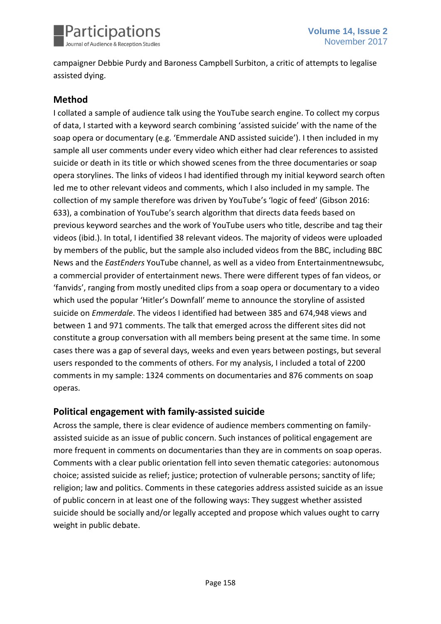

campaigner Debbie Purdy and Baroness Campbell Surbiton, a critic of attempts to legalise assisted dying.

## **Method**

I collated a sample of audience talk using the YouTube search engine. To collect my corpus of data, I started with a keyword search combining 'assisted suicide' with the name of the soap opera or documentary (e.g. 'Emmerdale AND assisted suicide'). I then included in my sample all user comments under every video which either had clear references to assisted suicide or death in its title or which showed scenes from the three documentaries or soap opera storylines. The links of videos I had identified through my initial keyword search often led me to other relevant videos and comments, which I also included in my sample. The collection of my sample therefore was driven by YouTube's 'logic of feed' (Gibson 2016: 633), a combination of YouTube's search algorithm that directs data feeds based on previous keyword searches and the work of YouTube users who title, describe and tag their videos (ibid.). In total, I identified 38 relevant videos. The majority of videos were uploaded by members of the public, but the sample also included videos from the BBC, including BBC News and the *EastEnders* YouTube channel, as well as a video from Entertainmentnewsubc, a commercial provider of entertainment news. There were different types of fan videos, or 'fanvids', ranging from mostly unedited clips from a soap opera or documentary to a video which used the popular 'Hitler's Downfall' meme to announce the storyline of assisted suicide on *Emmerdale*. The videos I identified had between 385 and 674,948 views and between 1 and 971 comments. The talk that emerged across the different sites did not constitute a group conversation with all members being present at the same time. In some cases there was a gap of several days, weeks and even years between postings, but several users responded to the comments of others. For my analysis, I included a total of 2200 comments in my sample: 1324 comments on documentaries and 876 comments on soap operas.

## **Political engagement with family-assisted suicide**

Across the sample, there is clear evidence of audience members commenting on familyassisted suicide as an issue of public concern. Such instances of political engagement are more frequent in comments on documentaries than they are in comments on soap operas. Comments with a clear public orientation fell into seven thematic categories: autonomous choice; assisted suicide as relief; justice; protection of vulnerable persons; sanctity of life; religion; law and politics. Comments in these categories address assisted suicide as an issue of public concern in at least one of the following ways: They suggest whether assisted suicide should be socially and/or legally accepted and propose which values ought to carry weight in public debate.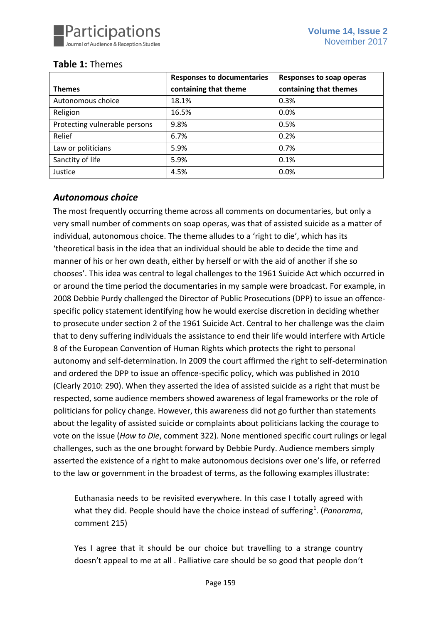

## **Table 1:** Themes

|                               | <b>Responses to documentaries</b> | Responses to soap operas |
|-------------------------------|-----------------------------------|--------------------------|
| <b>Themes</b>                 | containing that theme             | containing that themes   |
| Autonomous choice             | 18.1%                             | 0.3%                     |
| Religion                      | 16.5%                             | 0.0%                     |
| Protecting vulnerable persons | 9.8%                              | 0.5%                     |
| Relief                        | 6.7%                              | 0.2%                     |
| Law or politicians            | 5.9%                              | 0.7%                     |
| Sanctity of life              | 5.9%                              | 0.1%                     |
| Justice                       | 4.5%                              | 0.0%                     |

## *Autonomous choice*

The most frequently occurring theme across all comments on documentaries, but only a very small number of comments on soap operas, was that of assisted suicide as a matter of individual, autonomous choice. The theme alludes to a 'right to die', which has its 'theoretical basis in the idea that an individual should be able to decide the time and manner of his or her own death, either by herself or with the aid of another if she so chooses'. This idea was central to legal challenges to the 1961 Suicide Act which occurred in or around the time period the documentaries in my sample were broadcast. For example, in 2008 Debbie Purdy challenged the Director of Public Prosecutions (DPP) to issue an offencespecific policy statement identifying how he would exercise discretion in deciding whether to prosecute under section 2 of the 1961 Suicide Act. Central to her challenge was the claim that to deny suffering individuals the assistance to end their life would interfere with Article 8 of the European Convention of Human Rights which protects the right to personal autonomy and self-determination. In 2009 the court affirmed the right to self-determination and ordered the DPP to issue an offence-specific policy, which was published in 2010 (Clearly 2010: 290). When they asserted the idea of assisted suicide as a right that must be respected, some audience members showed awareness of legal frameworks or the role of politicians for policy change. However, this awareness did not go further than statements about the legality of assisted suicide or complaints about politicians lacking the courage to vote on the issue (*How to Die*, comment 322). None mentioned specific court rulings or legal challenges, such as the one brought forward by Debbie Purdy. Audience members simply asserted the existence of a right to make autonomous decisions over one's life, or referred to the law or government in the broadest of terms, as the following examples illustrate:

Euthanasia needs to be revisited everywhere. In this case I totally agreed with what they did. People should have the choice instead of suffering<sup>1</sup>. (*Panorama*, comment 215)

Yes I agree that it should be our choice but travelling to a strange country doesn't appeal to me at all . Palliative care should be so good that people don't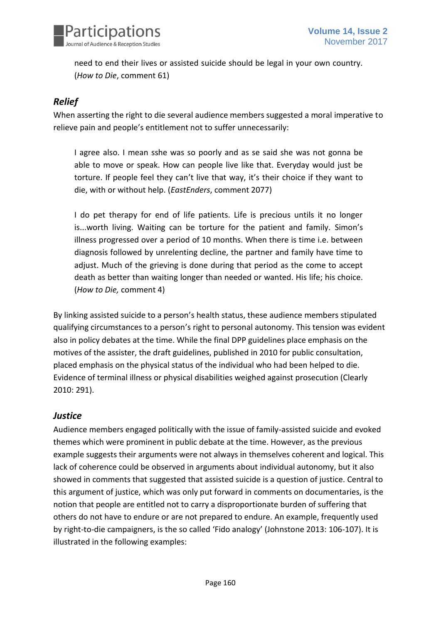

need to end their lives or assisted suicide should be legal in your own country. (*How to Die*, comment 61)

## *Relief*

When asserting the right to die several audience members suggested a moral imperative to relieve pain and people's entitlement not to suffer unnecessarily:

I agree also. I mean sshe was so poorly and as se said she was not gonna be able to move or speak. How can people live like that. Everyday would just be torture. If people feel they can't live that way, it's their choice if they want to die, with or without help. (*EastEnders*, comment 2077)

I do pet therapy for end of life patients. Life is precious untils it no longer is...worth living. Waiting can be torture for the patient and family. Simon's illness progressed over a period of 10 months. When there is time i.e. between diagnosis followed by unrelenting decline, the partner and family have time to adjust. Much of the grieving is done during that period as the come to accept death as better than waiting longer than needed or wanted. His life; his choice. (*How to Die,* comment 4)

By linking assisted suicide to a person's health status, these audience members stipulated qualifying circumstances to a person's right to personal autonomy. This tension was evident also in policy debates at the time. While the final DPP guidelines place emphasis on the motives of the assister, the draft guidelines, published in 2010 for public consultation, placed emphasis on the physical status of the individual who had been helped to die. Evidence of terminal illness or physical disabilities weighed against prosecution (Clearly 2010: 291).

## *Justice*

Audience members engaged politically with the issue of family-assisted suicide and evoked themes which were prominent in public debate at the time. However, as the previous example suggests their arguments were not always in themselves coherent and logical. This lack of coherence could be observed in arguments about individual autonomy, but it also showed in comments that suggested that assisted suicide is a question of justice. Central to this argument of justice, which was only put forward in comments on documentaries, is the notion that people are entitled not to carry a disproportionate burden of suffering that others do not have to endure or are not prepared to endure. An example, frequently used by right-to-die campaigners, is the so called 'Fido analogy' (Johnstone 2013: 106-107). It is illustrated in the following examples: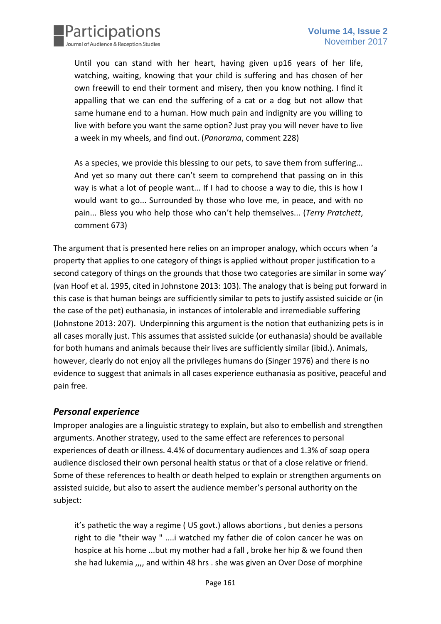

Until you can stand with her heart, having given up16 years of her life, watching, waiting, knowing that your child is suffering and has chosen of her own freewill to end their torment and misery, then you know nothing. I find it appalling that we can end the suffering of a cat or a dog but not allow that same humane end to a human. How much pain and indignity are you willing to live with before you want the same option? Just pray you will never have to live a week in my wheels, and find out. (*Panorama*, comment 228)

As a species, we provide this blessing to our pets, to save them from suffering... And yet so many out there can't seem to comprehend that passing on in this way is what a lot of people want... If I had to choose a way to die, this is how I would want to go... Surrounded by those who love me, in peace, and with no pain... Bless you who help those who can't help themselves... (*Terry Pratchett*, comment 673)

The argument that is presented here relies on an improper analogy, which occurs when 'a property that applies to one category of things is applied without proper justification to a second category of things on the grounds that those two categories are similar in some way' (van Hoof et al. 1995, cited in Johnstone 2013: 103). The analogy that is being put forward in this case is that human beings are sufficiently similar to pets to justify assisted suicide or (in the case of the pet) euthanasia, in instances of intolerable and irremediable suffering (Johnstone 2013: 207). Underpinning this argument is the notion that euthanizing pets is in all cases morally just. This assumes that assisted suicide (or euthanasia) should be available for both humans and animals because their lives are sufficiently similar (ibid.). Animals, however, clearly do not enjoy all the privileges humans do (Singer 1976) and there is no evidence to suggest that animals in all cases experience euthanasia as positive, peaceful and pain free.

## *Personal experience*

Improper analogies are a linguistic strategy to explain, but also to embellish and strengthen arguments. Another strategy, used to the same effect are references to personal experiences of death or illness. 4.4% of documentary audiences and 1.3% of soap opera audience disclosed their own personal health status or that of a close relative or friend. Some of these references to health or death helped to explain or strengthen arguments on assisted suicide, but also to assert the audience member's personal authority on the subject:

it's pathetic the way a regime ( US govt.) allows abortions , but denies a persons right to die "their way " ....i watched my father die of colon cancer he was on hospice at his home ...but my mother had a fall , broke her hip & we found then she had lukemia , and within 48 hrs . she was given an Over Dose of morphine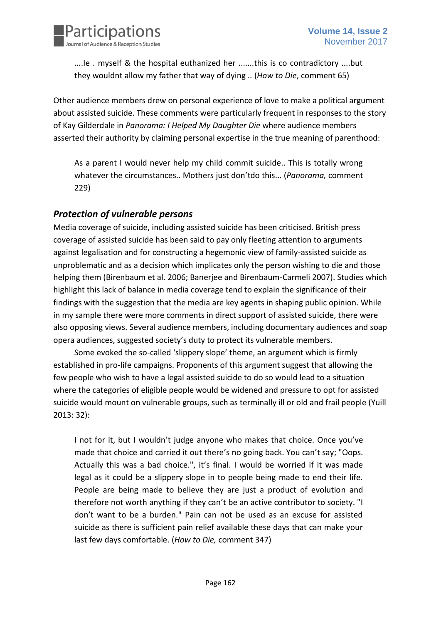

....Ie . myself & the hospital euthanized her .......this is co contradictory ....but they wouldnt allow my father that way of dying .. (*How to Die*, comment 65)

Other audience members drew on personal experience of love to make a political argument about assisted suicide. These comments were particularly frequent in responses to the story of Kay Gilderdale in *Panorama: I Helped My Daughter Die* where audience members asserted their authority by claiming personal expertise in the true meaning of parenthood:

As a parent I would never help my child commit suicide.. This is totally wrong whatever the circumstances.. Mothers just don'tdo this... (*Panorama,* comment 229)

## *Protection of vulnerable persons*

Media coverage of suicide, including assisted suicide has been criticised. British press coverage of assisted suicide has been said to pay only fleeting attention to arguments against legalisation and for constructing a hegemonic view of family-assisted suicide as unproblematic and as a decision which implicates only the person wishing to die and those helping them (Birenbaum et al. 2006; Banerjee and Birenbaum-Carmeli 2007). Studies which highlight this lack of balance in media coverage tend to explain the significance of their findings with the suggestion that the media are key agents in shaping public opinion. While in my sample there were more comments in direct support of assisted suicide, there were also opposing views. Several audience members, including documentary audiences and soap opera audiences, suggested society's duty to protect its vulnerable members.

Some evoked the so-called 'slippery slope' theme, an argument which is firmly established in pro-life campaigns. Proponents of this argument suggest that allowing the few people who wish to have a legal assisted suicide to do so would lead to a situation where the categories of eligible people would be widened and pressure to opt for assisted suicide would mount on vulnerable groups, such as terminally ill or old and frail people (Yuill 2013: 32):

I not for it, but I wouldn't judge anyone who makes that choice. Once you've made that choice and carried it out there's no going back. You can't say; "Oops. Actually this was a bad choice.", it's final. I would be worried if it was made legal as it could be a slippery slope in to people being made to end their life. People are being made to believe they are just a product of evolution and therefore not worth anything if they can't be an active contributor to society. "I don't want to be a burden." Pain can not be used as an excuse for assisted suicide as there is sufficient pain relief available these days that can make your last few days comfortable. (*How to Die,* comment 347)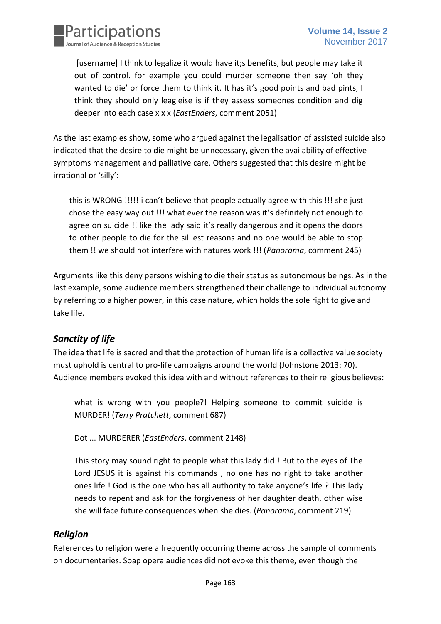

[username] I think to legalize it would have it;s benefits, but people may take it out of control. for example you could murder someone then say 'oh they wanted to die' or force them to think it. It has it's good points and bad pints, I think they should only leagleise is if they assess someones condition and dig deeper into each case x x x (*EastEnders*, comment 2051)

As the last examples show, some who argued against the legalisation of assisted suicide also indicated that the desire to die might be unnecessary, given the availability of effective symptoms management and palliative care. Others suggested that this desire might be irrational or 'silly':

this is WRONG !!!!! i can't believe that people actually agree with this !!! she just chose the easy way out !!! what ever the reason was it's definitely not enough to agree on suicide !! like the lady said it's really dangerous and it opens the doors to other people to die for the silliest reasons and no one would be able to stop them !! we should not interfere with natures work !!! (*Panorama*, comment 245)

Arguments like this deny persons wishing to die their status as autonomous beings. As in the last example, some audience members strengthened their challenge to individual autonomy by referring to a higher power, in this case nature, which holds the sole right to give and take life.

## *Sanctity of life*

The idea that life is sacred and that the protection of human life is a collective value society must uphold is central to pro-life campaigns around the world (Johnstone 2013: 70). Audience members evoked this idea with and without references to their religious believes:

what is wrong with you people?! Helping someone to commit suicide is MURDER! (*Terry Pratchett*, comment 687)

Dot ... MURDERER (*EastEnders*, comment 2148)

This story may sound right to people what this lady did ! But to the eyes of The Lord JESUS it is against his commands , no one has no right to take another ones life ! God is the one who has all authority to take anyone's life ? This lady needs to repent and ask for the forgiveness of her daughter death, other wise she will face future consequences when she dies. (*Panorama*, comment 219)

## *Religion*

References to religion were a frequently occurring theme across the sample of comments on documentaries. Soap opera audiences did not evoke this theme, even though the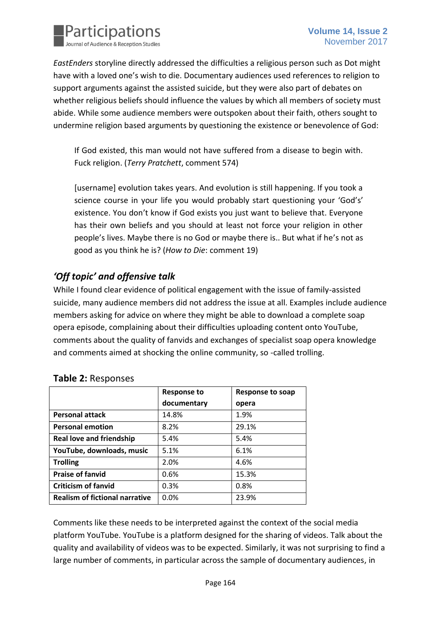

*EastEnders* storyline directly addressed the difficulties a religious person such as Dot might have with a loved one's wish to die. Documentary audiences used references to religion to support arguments against the assisted suicide, but they were also part of debates on whether religious beliefs should influence the values by which all members of society must abide. While some audience members were outspoken about their faith, others sought to undermine religion based arguments by questioning the existence or benevolence of God:

If God existed, this man would not have suffered from a disease to begin with. Fuck religion. (*Terry Pratchett*, comment 574)

[username] evolution takes years. And evolution is still happening. If you took a science course in your life you would probably start questioning your 'God's' existence. You don't know if God exists you just want to believe that. Everyone has their own beliefs and you should at least not force your religion in other people's lives. Maybe there is no God or maybe there is.. But what if he's not as good as you think he is? (*How to Die*: comment 19)

# *'Off topic' and offensive talk*

While I found clear evidence of political engagement with the issue of family-assisted suicide, many audience members did not address the issue at all. Examples include audience members asking for advice on where they might be able to download a complete soap opera episode, complaining about their difficulties uploading content onto YouTube, comments about the quality of fanvids and exchanges of specialist soap opera knowledge and comments aimed at shocking the online community, so -called trolling.

|                                       | <b>Response to</b> | Response to soap |
|---------------------------------------|--------------------|------------------|
|                                       | documentary        | opera            |
| <b>Personal attack</b>                | 14.8%              | 1.9%             |
| <b>Personal emotion</b>               | 8.2%               | 29.1%            |
| <b>Real love and friendship</b>       | 5.4%               | 5.4%             |
| YouTube, downloads, music             | 5.1%               | 6.1%             |
| <b>Trolling</b>                       | 2.0%               | 4.6%             |
| <b>Praise of fanvid</b>               | 0.6%               | 15.3%            |
| <b>Criticism of fanvid</b>            | 0.3%               | 0.8%             |
| <b>Realism of fictional narrative</b> | 0.0%               | 23.9%            |

## **Table 2:** Responses

Comments like these needs to be interpreted against the context of the social media platform YouTube. YouTube is a platform designed for the sharing of videos. Talk about the quality and availability of videos was to be expected. Similarly, it was not surprising to find a large number of comments, in particular across the sample of documentary audiences, in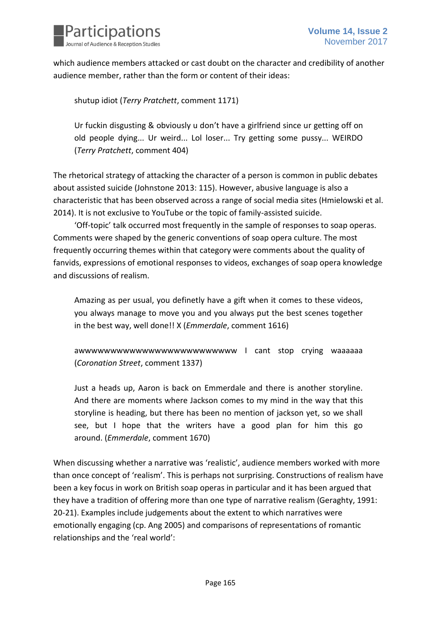

which audience members attacked or cast doubt on the character and credibility of another audience member, rather than the form or content of their ideas:

shutup idiot (*Terry Pratchett*, comment 1171)

Ur fuckin disgusting & obviously u don't have a girlfriend since ur getting off on old people dying... Ur weird... Lol loser... Try getting some pussy... WEIRDO (*Terry Pratchett*, comment 404)

The rhetorical strategy of attacking the character of a person is common in public debates about assisted suicide (Johnstone 2013: 115). However, abusive language is also a characteristic that has been observed across a range of social media sites (Hmielowski et al. 2014). It is not exclusive to YouTube or the topic of family-assisted suicide.

'Off-topic' talk occurred most frequently in the sample of responses to soap operas. Comments were shaped by the generic conventions of soap opera culture. The most frequently occurring themes within that category were comments about the quality of fanvids, expressions of emotional responses to videos, exchanges of soap opera knowledge and discussions of realism.

Amazing as per usual, you definetly have a gift when it comes to these videos, you always manage to move you and you always put the best scenes together in the best way, well done!! X (*Emmerdale*, comment 1616)

awwwwwwwwwwwwwwwwwwwwwwwww I cant stop crying waaaaaa (*Coronation Street*, comment 1337)

Just a heads up, Aaron is back on Emmerdale and there is another storyline. And there are moments where Jackson comes to my mind in the way that this storyline is heading, but there has been no mention of jackson yet, so we shall see, but I hope that the writers have a good plan for him this go around. (*Emmerdale*, comment 1670)

When discussing whether a narrative was 'realistic', audience members worked with more than once concept of 'realism'. This is perhaps not surprising. Constructions of realism have been a key focus in work on British soap operas in particular and it has been argued that they have a tradition of offering more than one type of narrative realism (Geraghty, 1991: 20-21). Examples include judgements about the extent to which narratives were emotionally engaging (cp. Ang 2005) and comparisons of representations of romantic relationships and the 'real world':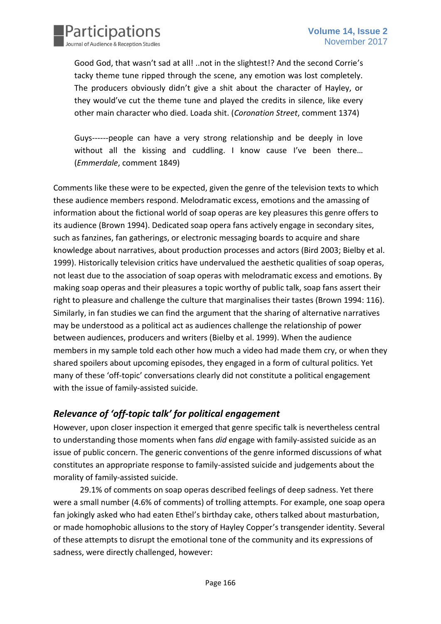

Good God, that wasn't sad at all! ..not in the slightest!? And the second Corrie's tacky theme tune ripped through the scene, any emotion was lost completely. The producers obviously didn't give a shit about the character of Hayley, or they would've cut the theme tune and played the credits in silence, like every other main character who died. Loada shit. (*Coronation Street*, comment 1374)

Guys------people can have a very strong relationship and be deeply in love without all the kissing and cuddling. I know cause I've been there... (*Emmerdale*, comment 1849)

Comments like these were to be expected, given the genre of the television texts to which these audience members respond. Melodramatic excess, emotions and the amassing of information about the fictional world of soap operas are key pleasures this genre offers to its audience (Brown 1994). Dedicated soap opera fans actively engage in secondary sites, such as fanzines, fan gatherings, or electronic messaging boards to acquire and share knowledge about narratives, about production processes and actors (Bird 2003; Bielby et al. 1999). Historically television critics have undervalued the aesthetic qualities of soap operas, not least due to the association of soap operas with melodramatic excess and emotions. By making soap operas and their pleasures a topic worthy of public talk, soap fans assert their right to pleasure and challenge the culture that marginalises their tastes (Brown 1994: 116). Similarly, in fan studies we can find the argument that the sharing of alternative narratives may be understood as a political act as audiences challenge the relationship of power between audiences, producers and writers (Bielby et al. 1999). When the audience members in my sample told each other how much a video had made them cry, or when they shared spoilers about upcoming episodes, they engaged in a form of cultural politics. Yet many of these 'off-topic' conversations clearly did not constitute a political engagement with the issue of family-assisted suicide.

## *Relevance of 'off-topic talk' for political engagement*

However, upon closer inspection it emerged that genre specific talk is nevertheless central to understanding those moments when fans *did* engage with family-assisted suicide as an issue of public concern. The generic conventions of the genre informed discussions of what constitutes an appropriate response to family-assisted suicide and judgements about the morality of family-assisted suicide.

29.1% of comments on soap operas described feelings of deep sadness. Yet there were a small number (4.6% of comments) of trolling attempts. For example, one soap opera fan jokingly asked who had eaten Ethel's birthday cake, others talked about masturbation, or made homophobic allusions to the story of Hayley Copper's transgender identity. Several of these attempts to disrupt the emotional tone of the community and its expressions of sadness, were directly challenged, however: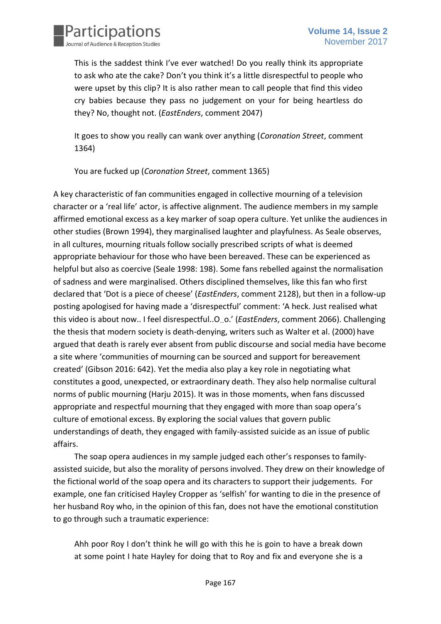

This is the saddest think I've ever watched! Do you really think its appropriate to ask who ate the cake? Don't you think it's a little disrespectful to people who were upset by this clip? It is also rather mean to call people that find this video cry babies because they pass no judgement on your for being heartless do they? No, thought not. (*EastEnders*, comment 2047)

It goes to show you really can wank over anything (*Coronation Street*, comment 1364)

You are fucked up (*Coronation Street*, comment 1365)

A key characteristic of fan communities engaged in collective mourning of a television character or a 'real life' actor, is affective alignment. The audience members in my sample affirmed emotional excess as a key marker of soap opera culture. Yet unlike the audiences in other studies (Brown 1994), they marginalised laughter and playfulness. As Seale observes, in all cultures, mourning rituals follow socially prescribed scripts of what is deemed appropriate behaviour for those who have been bereaved. These can be experienced as helpful but also as coercive (Seale 1998: 198). Some fans rebelled against the normalisation of sadness and were marginalised. Others disciplined themselves, like this fan who first declared that 'Dot is a piece of cheese' (*EastEnders*, comment 2128), but then in a follow-up posting apologised for having made a 'disrespectful' comment: 'A heck. Just realised what this video is about now.. I feel disrespectful..O…o.' (*EastEnders*, comment 2066). Challenging the thesis that modern society is death-denying, writers such as Walter et al. (2000) have argued that death is rarely ever absent from public discourse and social media have become a site where 'communities of mourning can be sourced and support for bereavement created' (Gibson 2016: 642). Yet the media also play a key role in negotiating what constitutes a good, unexpected, or extraordinary death. They also help normalise cultural norms of public mourning (Harju 2015). It was in those moments, when fans discussed appropriate and respectful mourning that they engaged with more than soap opera's culture of emotional excess. By exploring the social values that govern public understandings of death, they engaged with family-assisted suicide as an issue of public affairs.

The soap opera audiences in my sample judged each other's responses to familyassisted suicide, but also the morality of persons involved. They drew on their knowledge of the fictional world of the soap opera and its characters to support their judgements. For example, one fan criticised Hayley Cropper as 'selfish' for wanting to die in the presence of her husband Roy who, in the opinion of this fan, does not have the emotional constitution to go through such a traumatic experience:

Ahh poor Roy I don't think he will go with this he is goin to have a break down at some point I hate Hayley for doing that to Roy and fix and everyone she is a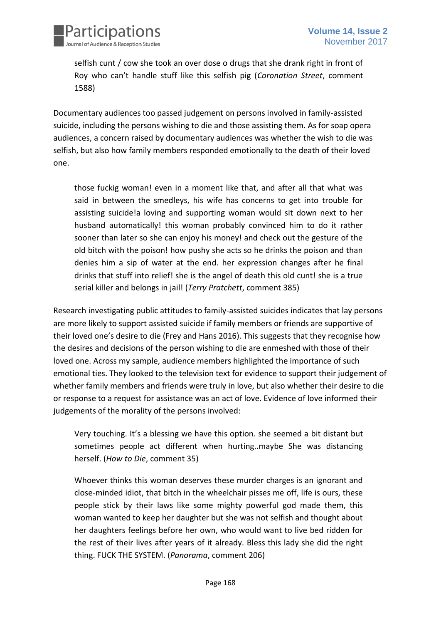

selfish cunt / cow she took an over dose o drugs that she drank right in front of Roy who can't handle stuff like this selfish pig (*Coronation Street*, comment 1588)

Documentary audiences too passed judgement on persons involved in family-assisted suicide, including the persons wishing to die and those assisting them. As for soap opera audiences, a concern raised by documentary audiences was whether the wish to die was selfish, but also how family members responded emotionally to the death of their loved one.

those fuckig woman! even in a moment like that, and after all that what was said in between the smedleys, his wife has concerns to get into trouble for assisting suicide!a loving and supporting woman would sit down next to her husband automatically! this woman probably convinced him to do it rather sooner than later so she can enjoy his money! and check out the gesture of the old bitch with the poison! how pushy she acts so he drinks the poison and than denies him a sip of water at the end. her expression changes after he final drinks that stuff into relief! she is the angel of death this old cunt! she is a true serial killer and belongs in jail! (*Terry Pratchett*, comment 385)

Research investigating public attitudes to family-assisted suicides indicates that lay persons are more likely to support assisted suicide if family members or friends are supportive of their loved one's desire to die (Frey and Hans 2016). This suggests that they recognise how the desires and decisions of the person wishing to die are enmeshed with those of their loved one. Across my sample, audience members highlighted the importance of such emotional ties. They looked to the television text for evidence to support their judgement of whether family members and friends were truly in love, but also whether their desire to die or response to a request for assistance was an act of love. Evidence of love informed their judgements of the morality of the persons involved:

Very touching. It's a blessing we have this option. she seemed a bit distant but sometimes people act different when hurting..maybe She was distancing herself. (*How to Die*, comment 35)

Whoever thinks this woman deserves these murder charges is an ignorant and close-minded idiot, that bitch in the wheelchair pisses me off, life is ours, these people stick by their laws like some mighty powerful god made them, this woman wanted to keep her daughter but she was not selfish and thought about her daughters feelings before her own, who would want to live bed ridden for the rest of their lives after years of it already. Bless this lady she did the right thing. FUCK THE SYSTEM. (*Panorama*, comment 206)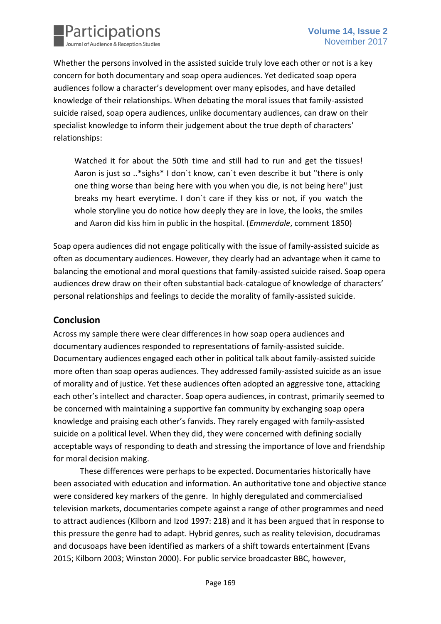

Whether the persons involved in the assisted suicide truly love each other or not is a key concern for both documentary and soap opera audiences. Yet dedicated soap opera audiences follow a character's development over many episodes, and have detailed knowledge of their relationships. When debating the moral issues that family-assisted suicide raised, soap opera audiences, unlike documentary audiences, can draw on their specialist knowledge to inform their judgement about the true depth of characters' relationships:

Watched it for about the 50th time and still had to run and get the tissues! Aaron is just so ..\*sighs\* I don`t know, can`t even describe it but "there is only one thing worse than being here with you when you die, is not being here" just breaks my heart everytime. I don`t care if they kiss or not, if you watch the whole storyline you do notice how deeply they are in love, the looks, the smiles and Aaron did kiss him in public in the hospital. (*Emmerdale*, comment 1850)

Soap opera audiences did not engage politically with the issue of family-assisted suicide as often as documentary audiences. However, they clearly had an advantage when it came to balancing the emotional and moral questions that family-assisted suicide raised. Soap opera audiences drew draw on their often substantial back-catalogue of knowledge of characters' personal relationships and feelings to decide the morality of family-assisted suicide.

#### **Conclusion**

Across my sample there were clear differences in how soap opera audiences and documentary audiences responded to representations of family-assisted suicide. Documentary audiences engaged each other in political talk about family-assisted suicide more often than soap operas audiences. They addressed family-assisted suicide as an issue of morality and of justice. Yet these audiences often adopted an aggressive tone, attacking each other's intellect and character. Soap opera audiences, in contrast, primarily seemed to be concerned with maintaining a supportive fan community by exchanging soap opera knowledge and praising each other's fanvids. They rarely engaged with family-assisted suicide on a political level. When they did, they were concerned with defining socially acceptable ways of responding to death and stressing the importance of love and friendship for moral decision making.

These differences were perhaps to be expected. Documentaries historically have been associated with education and information. An authoritative tone and objective stance were considered key markers of the genre. In highly deregulated and commercialised television markets, documentaries compete against a range of other programmes and need to attract audiences (Kilborn and Izod 1997: 218) and it has been argued that in response to this pressure the genre had to adapt. Hybrid genres, such as reality television, docudramas and docusoaps have been identified as markers of a shift towards entertainment (Evans 2015; Kilborn 2003; Winston 2000). For public service broadcaster BBC, however,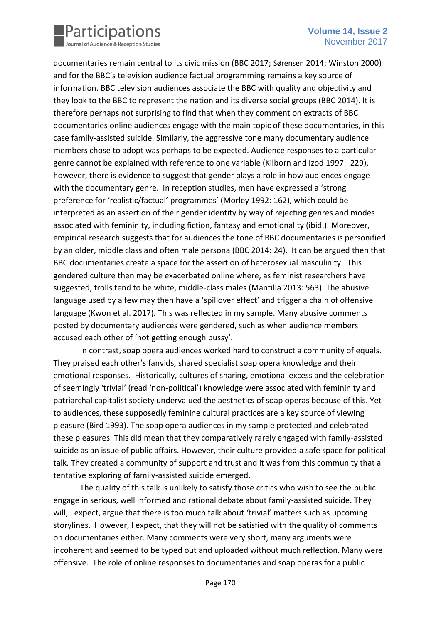

documentaries remain central to its civic mission (BBC 2017; Sørensen 2014; Winston 2000) and for the BBC's television audience factual programming remains a key source of information. BBC television audiences associate the BBC with quality and objectivity and they look to the BBC to represent the nation and its diverse social groups (BBC 2014). It is therefore perhaps not surprising to find that when they comment on extracts of BBC documentaries online audiences engage with the main topic of these documentaries, in this case family-assisted suicide. Similarly, the aggressive tone many documentary audience members chose to adopt was perhaps to be expected. Audience responses to a particular genre cannot be explained with reference to one variable (Kilborn and Izod 1997: 229), however, there is evidence to suggest that gender plays a role in how audiences engage with the documentary genre. In reception studies, men have expressed a 'strong preference for 'realistic/factual' programmes' (Morley 1992: 162), which could be interpreted as an assertion of their gender identity by way of rejecting genres and modes associated with femininity, including fiction, fantasy and emotionality (ibid.). Moreover, empirical research suggests that for audiences the tone of BBC documentaries is personified by an older, middle class and often male persona (BBC 2014: 24). It can be argued then that BBC documentaries create a space for the assertion of heterosexual masculinity. This gendered culture then may be exacerbated online where, as feminist researchers have suggested, trolls tend to be white, middle-class males (Mantilla 2013: 563). The abusive language used by a few may then have a 'spillover effect' and trigger a chain of offensive language (Kwon et al. 2017). This was reflected in my sample. Many abusive comments posted by documentary audiences were gendered, such as when audience members accused each other of 'not getting enough pussy'.

In contrast, soap opera audiences worked hard to construct a community of equals. They praised each other's fanvids, shared specialist soap opera knowledge and their emotional responses. Historically, cultures of sharing, emotional excess and the celebration of seemingly 'trivial' (read 'non-political') knowledge were associated with femininity and patriarchal capitalist society undervalued the aesthetics of soap operas because of this. Yet to audiences, these supposedly feminine cultural practices are a key source of viewing pleasure (Bird 1993). The soap opera audiences in my sample protected and celebrated these pleasures. This did mean that they comparatively rarely engaged with family-assisted suicide as an issue of public affairs. However, their culture provided a safe space for political talk. They created a community of support and trust and it was from this community that a tentative exploring of family-assisted suicide emerged.

The quality of this talk is unlikely to satisfy those critics who wish to see the public engage in serious, well informed and rational debate about family-assisted suicide. They will, I expect, argue that there is too much talk about 'trivial' matters such as upcoming storylines. However, I expect, that they will not be satisfied with the quality of comments on documentaries either. Many comments were very short, many arguments were incoherent and seemed to be typed out and uploaded without much reflection. Many were offensive. The role of online responses to documentaries and soap operas for a public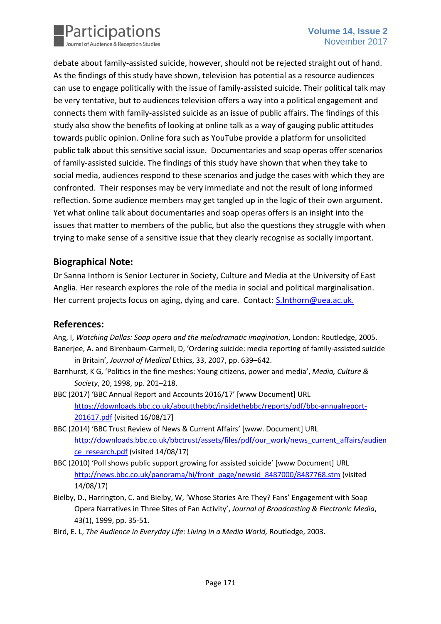

debate about family-assisted suicide, however, should not be rejected straight out of hand. As the findings of this study have shown, television has potential as a resource audiences can use to engage politically with the issue of family-assisted suicide. Their political talk may be very tentative, but to audiences television offers a way into a political engagement and connects them with family-assisted suicide as an issue of public affairs. The findings of this study also show the benefits of looking at online talk as a way of gauging public attitudes towards public opinion. Online fora such as YouTube provide a platform for unsolicited public talk about this sensitive social issue. Documentaries and soap operas offer scenarios of family-assisted suicide. The findings of this study have shown that when they take to social media, audiences respond to these scenarios and judge the cases with which they are confronted. Their responses may be very immediate and not the result of long informed reflection. Some audience members may get tangled up in the logic of their own argument. Yet what online talk about documentaries and soap operas offers is an insight into the issues that matter to members of the public, but also the questions they struggle with when trying to make sense of a sensitive issue that they clearly recognise as socially important.

## **Biographical Note:**

Dr Sanna Inthorn is Senior Lecturer in Society, Culture and Media at the University of East Anglia. Her research explores the role of the media in social and political marginalisation. Her current projects focus on aging, dying and care. Contact: [S.Inthorn@uea.ac.uk.](mailto:S.Inthorn@uea.ac.uk)

## **References:**

Ang, I, *Watching Dallas: Soap opera and the melodramatic imagination*, London: Routledge, 2005. Banerjee, A. and Birenbaum-Carmeli, D, 'Ordering suicide: media reporting of family-assisted suicide in Britain', *Journal of Medical* Ethics, 33, 2007, pp. 639–642.

- Barnhurst, K G, 'Politics in the fine meshes: Young citizens, power and media', *Media, Culture & Society*, 20, 1998, pp. 201–218.
- BBC (2017) 'BBC Annual Report and Accounts 2016/17' [www Document] URL [https://downloads.bbc.co.uk/aboutthebbc/insidethebbc/reports/pdf/bbc-annualreport-](https://downloads.bbc.co.uk/aboutthebbc/insidethebbc/reports/pdf/bbc-annualreport-201617.pdf)[201617.pdf](https://downloads.bbc.co.uk/aboutthebbc/insidethebbc/reports/pdf/bbc-annualreport-201617.pdf) (visited 16/08/17]
- BBC (2014) 'BBC Trust Review of News & Current Affairs' [www. Document] URL [http://downloads.bbc.co.uk/bbctrust/assets/files/pdf/our\\_work/news\\_current\\_affairs/audien](http://downloads.bbc.co.uk/bbctrust/assets/files/pdf/our_work/news_current_affairs/audience_research.pdf) [ce\\_research.pdf](http://downloads.bbc.co.uk/bbctrust/assets/files/pdf/our_work/news_current_affairs/audience_research.pdf) (visited 14/08/17)
- BBC (2010) 'Poll shows public support growing for assisted suicide' [www Document] URL [http://news.bbc.co.uk/panorama/hi/front\\_page/newsid\\_8487000/8487768.stm](http://news.bbc.co.uk/panorama/hi/front_page/newsid_8487000/8487768.stm) (visited 14/08/17)
- Bielby, D., Harrington, C. and Bielby, W, 'Whose Stories Are They? Fans' Engagement with Soap Opera Narratives in Three Sites of Fan Activity', *Journal of Broadcasting & Electronic Media*, 43(1), 1999, pp. 35-51.
- Bird, E. L, *The Audience in Everyday Life: Living in a Media World,* Routledge, 2003.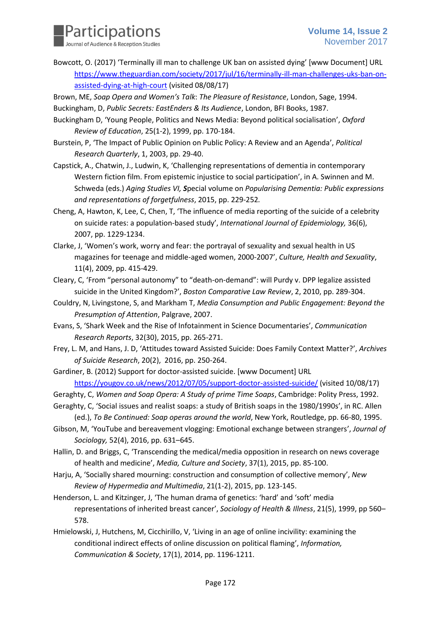

Bowcott, O. (2017) 'Terminally ill man to challenge UK ban on assisted dying' [www Document] URL [https://www.theguardian.com/society/2017/jul/16/terminally-ill-man-challenges-uks-ban-on](https://www.theguardian.com/society/2017/jul/16/terminally-ill-man-challenges-uks-ban-on-assisted-dying-at-high-court)[assisted-dying-at-high-court](https://www.theguardian.com/society/2017/jul/16/terminally-ill-man-challenges-uks-ban-on-assisted-dying-at-high-court) (visited 08/08/17)

Brown, ME, *Soap Opera and Women's Talk*: *The Pleasure of Resistance*, London, Sage, 1994.

Buckingham, D, *Public Secrets: EastEnders & Its Audience*, London, BFI Books, 1987.

- Buckingham D, 'Young People, Politics and News Media: Beyond political socialisation', *Oxford Review of Education*, 25(1-2), 1999, pp. 170-184.
- Burstein, P, 'The Impact of Public Opinion on Public Policy: A Review and an Agenda', *Political Research Quarterly*, 1, 2003, pp. 29-40.
- Capstick, A., Chatwin, J., Ludwin, K, 'Challenging representations of dementia in contemporary Western fiction film. From epistemic injustice to social participation', in A. Swinnen and M. Schweda (eds.) *Aging Studies VI, S*pecial volume on *Popularising Dementia: Public expressions and representations of forgetfulness*, 2015, pp. 229-252*.*
- Cheng, A, Hawton, K, Lee, C, Chen, T, 'The influence of media reporting of the suicide of a celebrity on suicide rates: a population-based study', *International Journal of Epidemiology,* 36(6), 2007, pp. 1229-1234.
- Clarke, J, 'Women's work, worry and fear: the portrayal of sexuality and sexual health in US magazines for teenage and middle-aged women, 2000-2007', *Culture, Health and Sexuality*, 11(4), 2009, pp. 415-429.
- Cleary, C, 'From "personal autonomy" to "death-on-demand": will Purdy v. DPP legalize assisted suicide in the United Kingdom?', *Boston Comparative Law Review*, 2, 2010, pp. 289-304.
- Couldry, N, Livingstone, S, and Markham T, *Media Consumption and Public Engagement: Beyond the Presumption of Attention*, Palgrave, 2007.
- Evans, S, 'Shark Week and the Rise of Infotainment in Science Documentaries', *Communication Research Reports*, 32(30), 2015, pp. 265-271.
- Frey, L. M, and Hans, J. D, 'Attitudes toward Assisted Suicide: Does Family Context Matter?', *Archives of Suicide Research*, 20(2), 2016, pp. 250-264.
- Gardiner, B. (2012) Support for doctor-assisted suicide. [www Document] URL <https://yougov.co.uk/news/2012/07/05/support-doctor-assisted-suicide/> (visited 10/08/17)
- Geraghty, C, *Women and Soap Opera: A Study of prime Time Soaps*, Cambridge: Polity Press, 1992.
- Geraghty, C, 'Social issues and realist soaps: a study of British soaps in the 1980/1990s', in RC. Allen (ed.), *To Be Continued: Soap operas around the world*, New York, Routledge, pp. 66-80, 1995.
- Gibson, M, 'YouTube and bereavement vlogging: Emotional exchange between strangers', *Journal of Sociology,* 52(4), 2016, pp. 631–645.
- Hallin, D. and Briggs, C, 'Transcending the medical/media opposition in research on news coverage of health and medicine', *Media, Culture and Society*, 37(1), 2015, pp. 85-100.
- Harju, A, 'Socially shared mourning: construction and consumption of collective memory', *New Review of Hypermedia and Multimedia*, 21(1-2), 2015, pp. 123-145.
- Henderson, L. and Kitzinger, J, 'The human drama of genetics: 'hard' and 'soft' media representations of inherited breast cancer', *Sociology of Health & Illness*, 21(5), 1999, pp 560– 578.
- Hmielowski, J, Hutchens, M, Cicchirillo, V, 'Living in an age of online incivility: examining the conditional indirect effects of online discussion on political flaming', *Information, Communication & Society*, 17(1), 2014, pp. 1196-1211.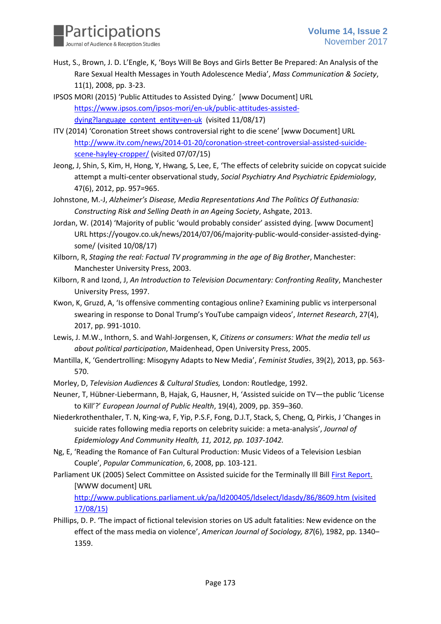

- Hust, S., Brown, J. D. L'Engle, K, 'Boys Will Be Boys and Girls Better Be Prepared: An Analysis of the Rare Sexual Health Messages in Youth Adolescence Media', *Mass Communication & Society*, 11(1), 2008, pp. 3-23.
- IPSOS MORI (2015) 'Public Attitudes to Assisted Dying.' [www Document] URL [https://www.ipsos.com/ipsos-mori/en-uk/public-attitudes-assisted](https://www.ipsos.com/ipsos-mori/en-uk/public-attitudes-assisted-dying?language_content_entity=en-uk)[dying?language\\_content\\_entity=en-uk](https://www.ipsos.com/ipsos-mori/en-uk/public-attitudes-assisted-dying?language_content_entity=en-uk) (visited 11/08/17)
- ITV (2014) 'Coronation Street shows controversial right to die scene' [www Document] URL [http://www.itv.com/news/2014-01-20/coronation-street-controversial-assisted-suicide](http://www.itv.com/news/2014-01-20/coronation-street-controversial-assisted-suicide-scene-hayley-cropper/)[scene-hayley-cropper/](http://www.itv.com/news/2014-01-20/coronation-street-controversial-assisted-suicide-scene-hayley-cropper/) (visited 07/07/15)
- Jeong, J, Shin, S, Kim, H, Hong, Y, Hwang, S, Lee, E, 'The effects of celebrity suicide on copycat suicide attempt a multi-center observational study, *Social Psychiatry And Psychiatric Epidemiology*, 47(6), 2012, pp. 957=965.
- Johnstone, M.-J, *Alzheimer's Disease, Media Representations And The Politics Of Euthanasia: Constructing Risk and Selling Death in an Ageing Society*, Ashgate, 2013.
- Jordan, W. (2014) 'Majority of public 'would probably consider' assisted dying. [www Document] URL https://yougov.co.uk/news/2014/07/06/majority-public-would-consider-assisted-dyingsome/ (visited 10/08/17)
- Kilborn, R, *Staging the real: Factual TV programming in the age of Big Brother*, Manchester: Manchester University Press, 2003.
- Kilborn, R and Izond, J, *An Introduction to Television Documentary: Confronting Reality*, Manchester University Press, 1997.
- Kwon, K, Gruzd, A, 'Is offensive commenting contagious online? Examining public vs interpersonal swearing in response to Donal Trump's YouTube campaign videos', *Internet Research*, 27(4), 2017, pp. 991-1010.
- Lewis, J. M.W., Inthorn, S. and Wahl-Jorgensen, K, *Citizens or consumers: What the media tell us about political participation*, Maidenhead, Open University Press, 2005.
- Mantilla, K, 'Gendertrolling: Misogyny Adapts to New Media', *Feminist Studies*, 39(2), 2013, pp. 563- 570.
- Morley, D, *Television Audiences & Cultural Studies,* London: Routledge, 1992.
- Neuner, T, Hübner-Liebermann, B, Hajak, G, Hausner, H, 'Assisted suicide on TV—the public 'License to Kill'?' *European Journal of Public Health*, 19(4), 2009, pp. 359–360.
- Niederkrothenthaler, T. N, King-wa, F, Yip, P.S.F, Fong, D.J.T, Stack, S, Cheng, Q, Pirkis, J 'Changes in suicide rates following media reports on celebrity suicide: a meta-analysis', *Journal of Epidemiology And Community Health, 11, 2012, pp. 1037-1042.*
- Ng, E, 'Reading the Romance of Fan Cultural Production: Music Videos of a Television Lesbian Couple', *Popular Communication*, 6, 2008, pp. 103-121.
- Parliament UK (2005) Select Committee on Assisted suicide for the Terminally Ill Bill First [Report.](http://www.publications.parliament.uk/pa/ld200405/ldselect/ldasdy/86/8602.htm) [WWW document] URL

<http://www.publications.parliament.uk/pa/ld200405/ldselect/ldasdy/86/8609.htm> (visited 17/08/15)

Phillips, D. P. 'The impact of fictional television stories on US adult fatalities: New evidence on the effect of the mass media on violence', *American Journal of Sociology, 87*(6), 1982, pp. 1340– 1359.